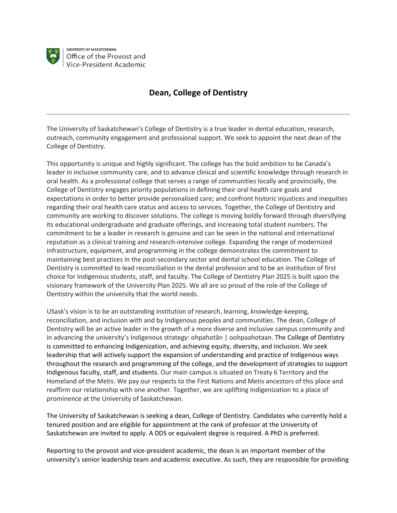

UNIVERSITY OF SASKATCHEWAN Office of the Provost and Vice-President Academic

## **Dean, College of Dentistry**

The University of Saskatchewan's College of Dentistry is a true leader in dental education, research, outreach, community engagement and professional support. We seek to appoint the next dean of the College of Dentistry.

This opportunity is unique and highly significant. The college has the bold ambition to be Canada's leader in inclusive community care, and to advance clinical and scientific knowledge through research in oral health. As a professional college that serves a range of communities locally and provincially, the College of Dentistry engages priority populations in defining their oral health care goals and expectations in order to better provide personalised care; and confront historic injustices and inequities regarding their oral health care status and access to services. Together, the College of Dentistry and community are working to discover solutions. The college is moving boldly forward through diversifying its educational undergraduate and graduate offerings, and increasing total student numbers. The commitment to be a leader in research is genuine and can be seen in the national and international reputation as a clinical training and research-intensive college. Expanding the range of modernized infrastructure, equipment, and programming in the college demonstrates the commitment to maintaining best practices in the post-secondary sector and dental school education. The College of Dentistry is committed to lead reconciliation in the dental profession and to be an institution of first choice for Indigenous students, staff, and faculty. The College of Dentistry Plan 2025 is built upon the visionary framework of the University Plan 2025. We all are so proud of the role of the College of Dentistry within the university that the world needs.

USask's vision is to be an outstanding institution of research, learning, knowledge-keeping, reconciliation, and inclusion with and by Indigenous peoples and communities. The dean, College of Dentistry will be an active leader in the growth of a more diverse and inclusive campus community and in advancing the university's Indigenous strategy: ohpahotân | oohpaahotaan. The College of Dentistry is committed to enhancing Indigenization, and achieving equity, diversity, and inclusion. We seek leadership that will actively support the expansion of understanding and practice of Indigenous ways throughout the research and programming of the college, and the development of strategies to support Indigenous faculty, staff, and students. Our main campus is situated on Treaty 6 Territory and the Homeland of the Metis. We pay our respects to the First Nations and Metis ancestors of this place and reaffirm our relationship with one another. Together, we are uplifting Indigenization to a place of prominence at the University of Saskatchewan.

The University of Saskatchewan is seeking a dean, College of Dentistry. Candidates who currently hold a tenured position and are eligible for appointment at the rank of professor at the University of Saskatchewan are invited to apply. A DDS or equivalent degree is required. A PhD is preferred.

Reporting to the provost and vice-president academic, the dean is an important member of the university's senior leadership team and academic executive. As such, they are responsible for providing